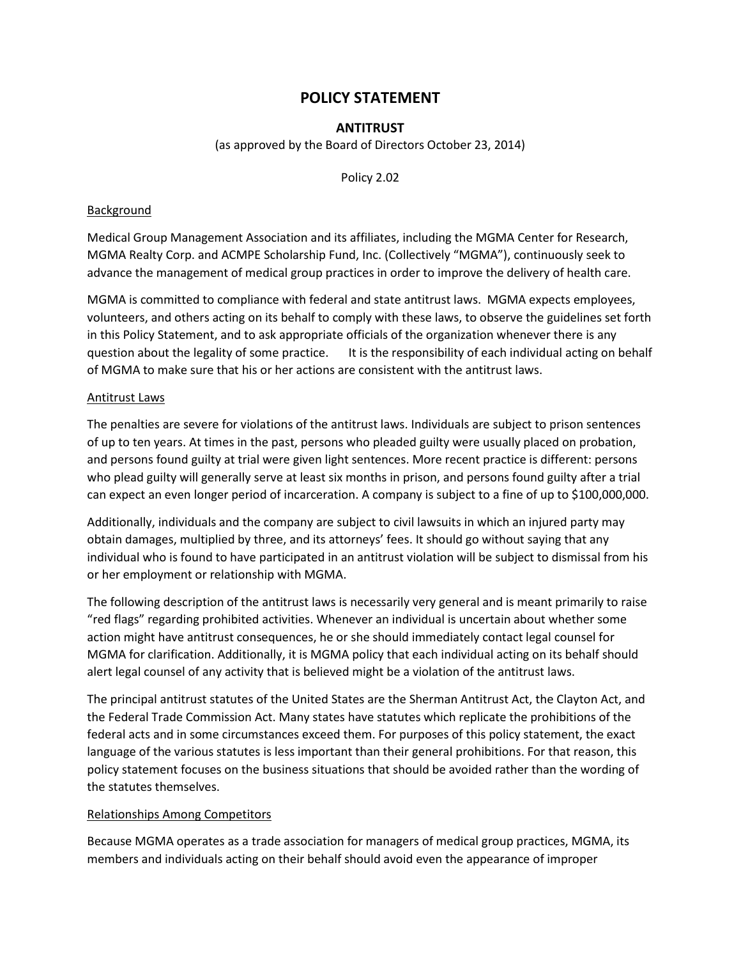# **POLICY STATEMENT**

## **ANTITRUST**

(as approved by the Board of Directors October 23, 2014)

Policy 2.02

## Background

Medical Group Management Association and its affiliates, including the MGMA Center for Research, MGMA Realty Corp. and ACMPE Scholarship Fund, Inc. (Collectively "MGMA"), continuously seek to advance the management of medical group practices in order to improve the delivery of health care.

MGMA is committed to compliance with federal and state antitrust laws. MGMA expects employees, volunteers, and others acting on its behalf to comply with these laws, to observe the guidelines set forth in this Policy Statement, and to ask appropriate officials of the organization whenever there is any question about the legality of some practice. It is the responsibility of each individual acting on behalf of MGMA to make sure that his or her actions are consistent with the antitrust laws.

#### Antitrust Laws

The penalties are severe for violations of the antitrust laws. Individuals are subject to prison sentences of up to ten years. At times in the past, persons who pleaded guilty were usually placed on probation, and persons found guilty at trial were given light sentences. More recent practice is different: persons who plead guilty will generally serve at least six months in prison, and persons found guilty after a trial can expect an even longer period of incarceration. A company is subject to a fine of up to \$100,000,000.

Additionally, individuals and the company are subject to civil lawsuits in which an injured party may obtain damages, multiplied by three, and its attorneys' fees. It should go without saying that any individual who is found to have participated in an antitrust violation will be subject to dismissal from his or her employment or relationship with MGMA.

The following description of the antitrust laws is necessarily very general and is meant primarily to raise "red flags" regarding prohibited activities. Whenever an individual is uncertain about whether some action might have antitrust consequences, he or she should immediately contact legal counsel for MGMA for clarification. Additionally, it is MGMA policy that each individual acting on its behalf should alert legal counsel of any activity that is believed might be a violation of the antitrust laws.

The principal antitrust statutes of the United States are the Sherman Antitrust Act, the Clayton Act, and the Federal Trade Commission Act. Many states have statutes which replicate the prohibitions of the federal acts and in some circumstances exceed them. For purposes of this policy statement, the exact language of the various statutes is less important than their general prohibitions. For that reason, this policy statement focuses on the business situations that should be avoided rather than the wording of the statutes themselves.

## Relationships Among Competitors

Because MGMA operates as a trade association for managers of medical group practices, MGMA, its members and individuals acting on their behalf should avoid even the appearance of improper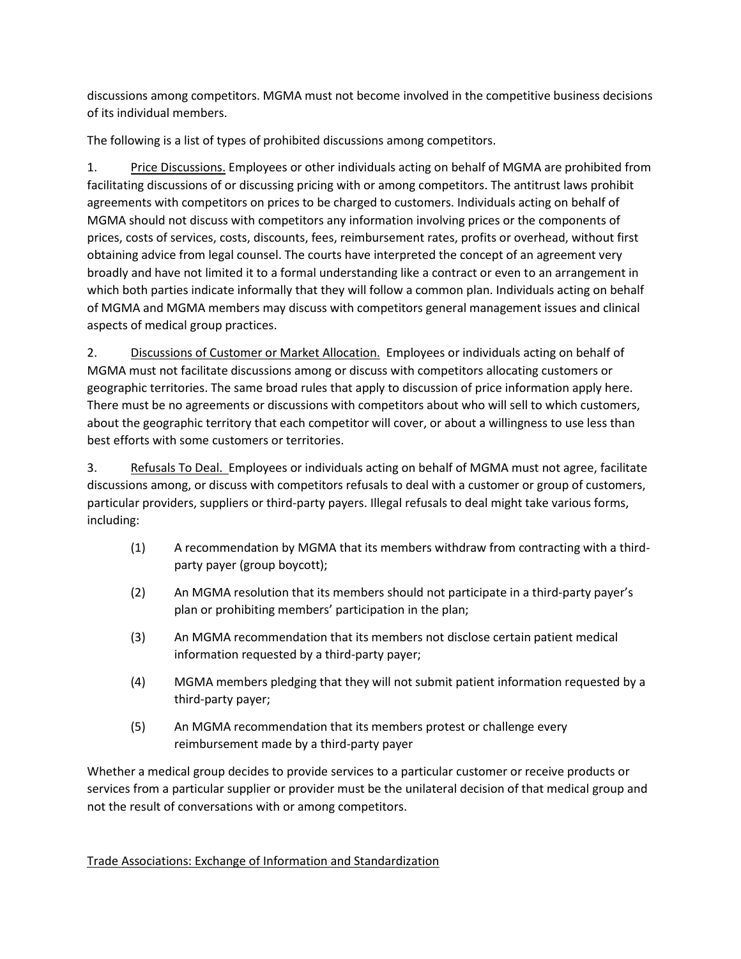discussions among competitors. MGMA must not become involved in the competitive business decisions of its individual members.

The following is a list of types of prohibited discussions among competitors.

1. Price Discussions. Employees or other individuals acting on behalf of MGMA are prohibited from facilitating discussions of or discussing pricing with or among competitors. The antitrust laws prohibit agreements with competitors on prices to be charged to customers. Individuals acting on behalf of MGMA should not discuss with competitors any information involving prices or the components of prices, costs of services, costs, discounts, fees, reimbursement rates, profits or overhead, without first obtaining advice from legal counsel. The courts have interpreted the concept of an agreement very broadly and have not limited it to a formal understanding like a contract or even to an arrangement in which both parties indicate informally that they will follow a common plan. Individuals acting on behalf of MGMA and MGMA members may discuss with competitors general management issues and clinical aspects of medical group practices.

2. Discussions of Customer or Market Allocation. Employees or individuals acting on behalf of MGMA must not facilitate discussions among or discuss with competitors allocating customers or geographic territories. The same broad rules that apply to discussion of price information apply here. There must be no agreements or discussions with competitors about who will sell to which customers, about the geographic territory that each competitor will cover, or about a willingness to use less than best efforts with some customers or territories.

3. Refusals To Deal. Employees or individuals acting on behalf of MGMA must not agree, facilitate discussions among, or discuss with competitors refusals to deal with a customer or group of customers, particular providers, suppliers or third-party payers. Illegal refusals to deal might take various forms, including:

- (1) A recommendation by MGMA that its members withdraw from contracting with a thirdparty payer (group boycott);
- (2) An MGMA resolution that its members should not participate in a third-party payer's plan or prohibiting members' participation in the plan;
- (3) An MGMA recommendation that its members not disclose certain patient medical information requested by a third-party payer;
- (4) MGMA members pledging that they will not submit patient information requested by a third-party payer;
- (5) An MGMA recommendation that its members protest or challenge every reimbursement made by a third-party payer

Whether a medical group decides to provide services to a particular customer or receive products or services from a particular supplier or provider must be the unilateral decision of that medical group and not the result of conversations with or among competitors.

Trade Associations: Exchange of Information and Standardization